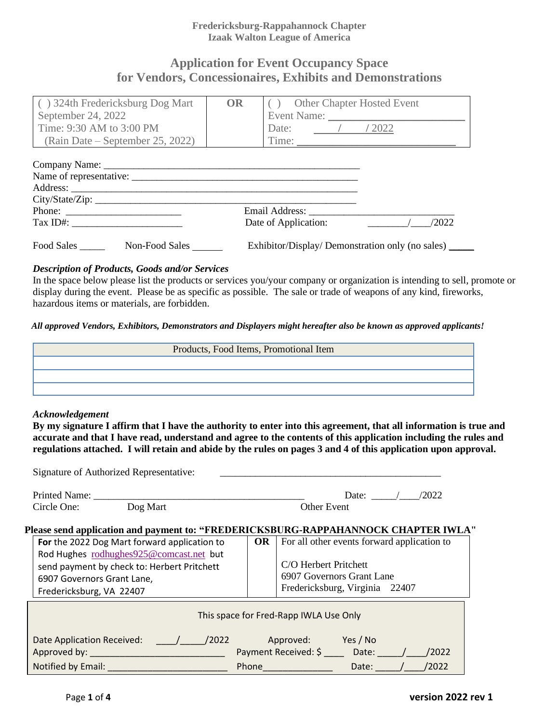#### **Fredericksburg-Rappahannock Chapter Izaak Walton League of America**

## **Application for Event Occupancy Space for Vendors, Concessionaires, Exhibits and Demonstrations**

| () 324th Fredericksburg Dog Mart | <b>OR</b> | ( ) Other Chapter Hosted Event                  |  |       |  |
|----------------------------------|-----------|-------------------------------------------------|--|-------|--|
| September 24, 2022               |           |                                                 |  |       |  |
| Time: 9:30 AM to 3:00 PM         |           | Date: <u>1 1 2022</u>                           |  |       |  |
| (Rain Date – September 25, 2022) |           |                                                 |  |       |  |
|                                  |           |                                                 |  |       |  |
|                                  |           |                                                 |  |       |  |
|                                  |           | Email Address:                                  |  |       |  |
|                                  |           | Date of Application:                            |  | /2022 |  |
| Food Sales<br>Non-Food Sales     |           | Exhibitor/Display/Demonstration only (no sales) |  |       |  |

#### *Description of Products, Goods and/or Services*

In the space below please list the products or services you/your company or organization is intending to sell, promote or display during the event. Please be as specific as possible. The sale or trade of weapons of any kind, fireworks, hazardous items or materials, are forbidden.

#### *All approved Vendors, Exhibitors, Demonstrators and Displayers might hereafter also be known as approved applicants!*

| Products, Food Items, Promotional Item |  |  |  |  |
|----------------------------------------|--|--|--|--|
|                                        |  |  |  |  |
|                                        |  |  |  |  |
|                                        |  |  |  |  |

#### *Acknowledgement*

**By my signature I affirm that I have the authority to enter into this agreement, that all information is true and accurate and that I have read, understand and agree to the contents of this application including the rules and regulations attached. I will retain and abide by the rules on pages 3 and 4 of this application upon approval.**

|                                                                                                                                                  | Signature of Authorized Representative:                                                                                                                                                                                        |                            |                                                                                      |               |  |       |  |
|--------------------------------------------------------------------------------------------------------------------------------------------------|--------------------------------------------------------------------------------------------------------------------------------------------------------------------------------------------------------------------------------|----------------------------|--------------------------------------------------------------------------------------|---------------|--|-------|--|
| Printed Name:                                                                                                                                    |                                                                                                                                                                                                                                |                            |                                                                                      | Date: / /2022 |  |       |  |
| Circle One:                                                                                                                                      | Dog Mart                                                                                                                                                                                                                       | Other Event                |                                                                                      |               |  |       |  |
|                                                                                                                                                  | Please send application and payment to: "FREDERICKSBURG-RAPPAHANNOCK CHAPTER IWLA"                                                                                                                                             |                            |                                                                                      |               |  |       |  |
| For the 2022 Dog Mart forward application to                                                                                                     |                                                                                                                                                                                                                                | OR                         | For all other events forward application to                                          |               |  |       |  |
| Rod Hughes rodhughes925@comcast.net but<br>send payment by check to: Herbert Pritchett<br>6907 Governors Grant Lane,<br>Fredericksburg, VA 22407 |                                                                                                                                                                                                                                |                            | C/O Herbert Pritchett<br>6907 Governors Grant Lane<br>Fredericksburg, Virginia 22407 |               |  |       |  |
|                                                                                                                                                  |                                                                                                                                                                                                                                |                            | This space for Fred-Rapp IWLA Use Only                                               |               |  |       |  |
| Date Application Received:                                                                                                                       | /2022<br>$\overline{1}$                                                                                                                                                                                                        |                            | Approved:                                                                            | Yes / No      |  |       |  |
|                                                                                                                                                  | Approved by: New York State State State State State State State State State State State State State State State State State State State State State State State State State State State State State State State State State St | Payment Received: \$ Date: |                                                                                      |               |  | /2022 |  |
| Notified by Email:                                                                                                                               |                                                                                                                                                                                                                                | Phone                      |                                                                                      | Date:         |  | /2022 |  |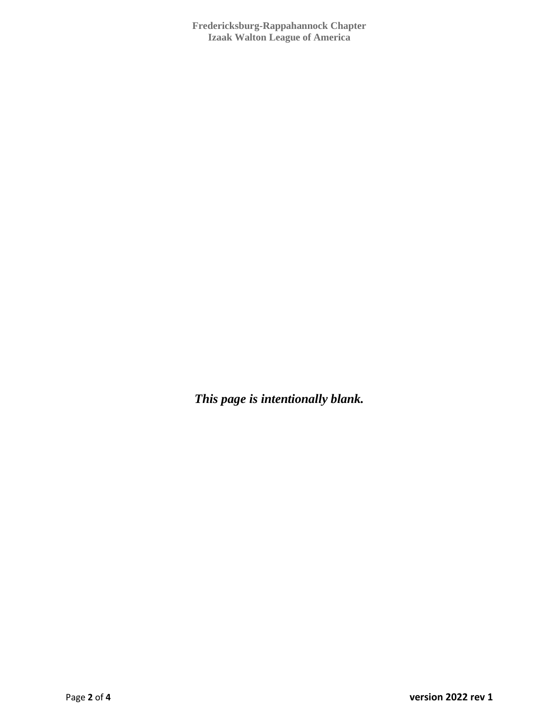**Fredericksburg-Rappahannock Chapter Izaak Walton League of America**

*This page is intentionally blank.*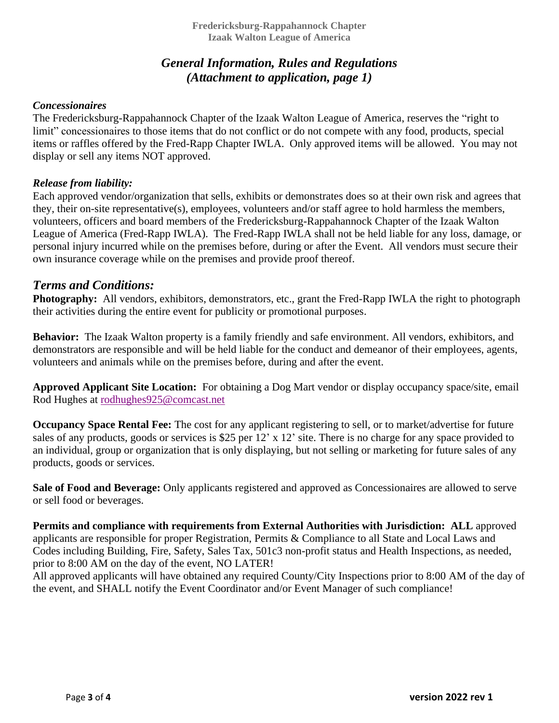**Fredericksburg-Rappahannock Chapter Izaak Walton League of America**

# *General Information, Rules and Regulations (Attachment to application, page 1)*

## *Concessionaires*

The Fredericksburg-Rappahannock Chapter of the Izaak Walton League of America, reserves the "right to limit" concessionaires to those items that do not conflict or do not compete with any food, products, special items or raffles offered by the Fred-Rapp Chapter IWLA. Only approved items will be allowed. You may not display or sell any items NOT approved.

## *Release from liability:*

Each approved vendor/organization that sells, exhibits or demonstrates does so at their own risk and agrees that they, their on-site representative(s), employees, volunteers and/or staff agree to hold harmless the members, volunteers, officers and board members of the Fredericksburg-Rappahannock Chapter of the Izaak Walton League of America (Fred-Rapp IWLA). The Fred-Rapp IWLA shall not be held liable for any loss, damage, or personal injury incurred while on the premises before, during or after the Event. All vendors must secure their own insurance coverage while on the premises and provide proof thereof.

## *Terms and Conditions:*

**Photography:** All vendors, exhibitors, demonstrators, etc., grant the Fred-Rapp IWLA the right to photograph their activities during the entire event for publicity or promotional purposes.

**Behavior:** The Izaak Walton property is a family friendly and safe environment. All vendors, exhibitors, and demonstrators are responsible and will be held liable for the conduct and demeanor of their employees, agents, volunteers and animals while on the premises before, during and after the event.

**Approved Applicant Site Location:** For obtaining a Dog Mart vendor or display occupancy space/site, email Rod Hughes at [rodhughes925@comcast.net](https://3c-lxa.mail.com/mail/client/mail/mailto;jsessionid=C7036E68CFD1249B92BAA0AABC69F2BF-n1.lxa13a?to=rodhughes925%40comcast.net)

**Occupancy Space Rental Fee:** The cost for any applicant registering to sell, or to market/advertise for future sales of any products, goods or services is \$25 per 12' x 12' site. There is no charge for any space provided to an individual, group or organization that is only displaying, but not selling or marketing for future sales of any products, goods or services.

**Sale of Food and Beverage:** Only applicants registered and approved as Concessionaires are allowed to serve or sell food or beverages.

**Permits and compliance with requirements from External Authorities with Jurisdiction: ALL** approved applicants are responsible for proper Registration, Permits & Compliance to all State and Local Laws and Codes including Building, Fire, Safety, Sales Tax, 501c3 non-profit status and Health Inspections, as needed, prior to 8:00 AM on the day of the event, NO LATER!

All approved applicants will have obtained any required County/City Inspections prior to 8:00 AM of the day of the event, and SHALL notify the Event Coordinator and/or Event Manager of such compliance!